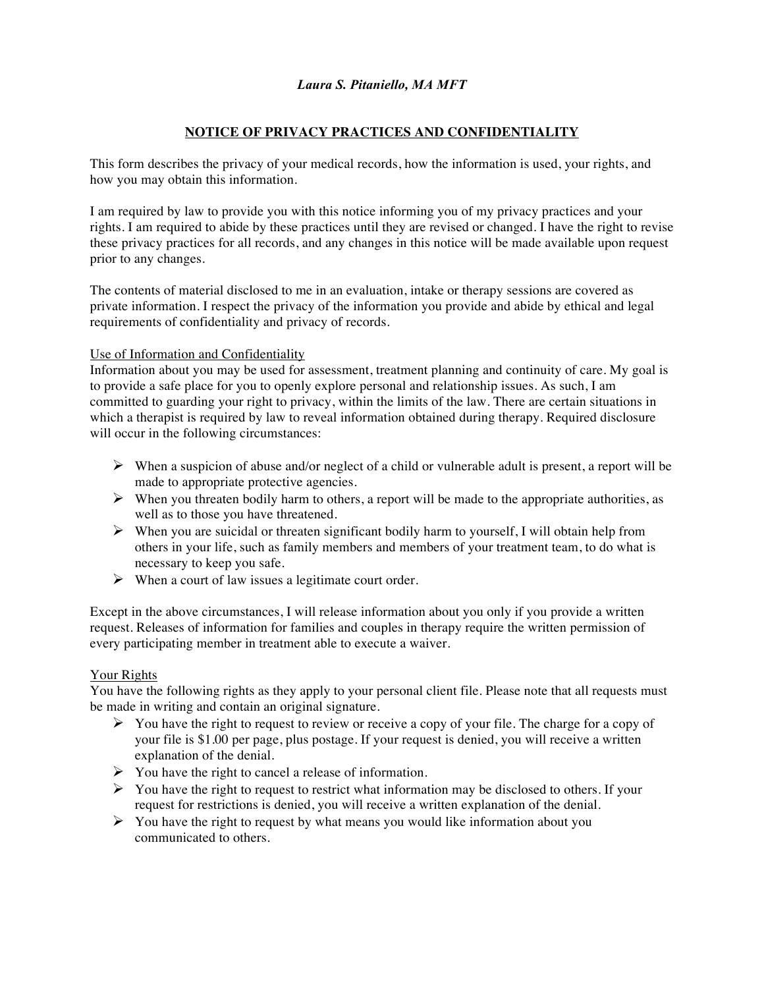## **NOTICE OF PRIVACY PRACTICES AND CONFIDENTIALITY**

This form describes the privacy of your medical records, how the information is used, your rights, and how you may obtain this information.

I am required by law to provide you with this notice informing you of my privacy practices and your rights. I am required to abide by these practices until they are revised or changed. I have the right to revise these privacy practices for all records, and any changes in this notice will be made available upon request prior to any changes.

The contents of material disclosed to me in an evaluation, intake or therapy sessions are covered as private information. I respect the privacy of the information you provide and abide by ethical and legal requirements of confidentiality and privacy of records.

## Use of Information and Confidentiality

Information about you may be used for assessment, treatment planning and continuity of care. My goal is to provide a safe place for you to openly explore personal and relationship issues. As such, I am committed to guarding your right to privacy, within the limits of the law. There are certain situations in which a therapist is required by law to reveal information obtained during therapy. Required disclosure will occur in the following circumstances:

- $\triangleright$  When a suspicion of abuse and/or neglect of a child or vulnerable adult is present, a report will be made to appropriate protective agencies.
- $\triangleright$  When you threaten bodily harm to others, a report will be made to the appropriate authorities, as well as to those you have threatened.
- $\triangleright$  When you are suicidal or threaten significant bodily harm to yourself, I will obtain help from others in your life, such as family members and members of your treatment team, to do what is necessary to keep you safe.
- $\triangleright$  When a court of law issues a legitimate court order.

Except in the above circumstances, I will release information about you only if you provide a written request. Releases of information for families and couples in therapy require the written permission of every participating member in treatment able to execute a waiver.

## Your Rights

You have the following rights as they apply to your personal client file. Please note that all requests must be made in writing and contain an original signature.

- $\triangleright$  You have the right to request to review or receive a copy of your file. The charge for a copy of your file is \$1.00 per page, plus postage. If your request is denied, you will receive a written explanation of the denial.
- $\triangleright$  You have the right to cancel a release of information.
- $\triangleright$  You have the right to request to restrict what information may be disclosed to others. If your request for restrictions is denied, you will receive a written explanation of the denial.
- $\triangleright$  You have the right to request by what means you would like information about you communicated to others.